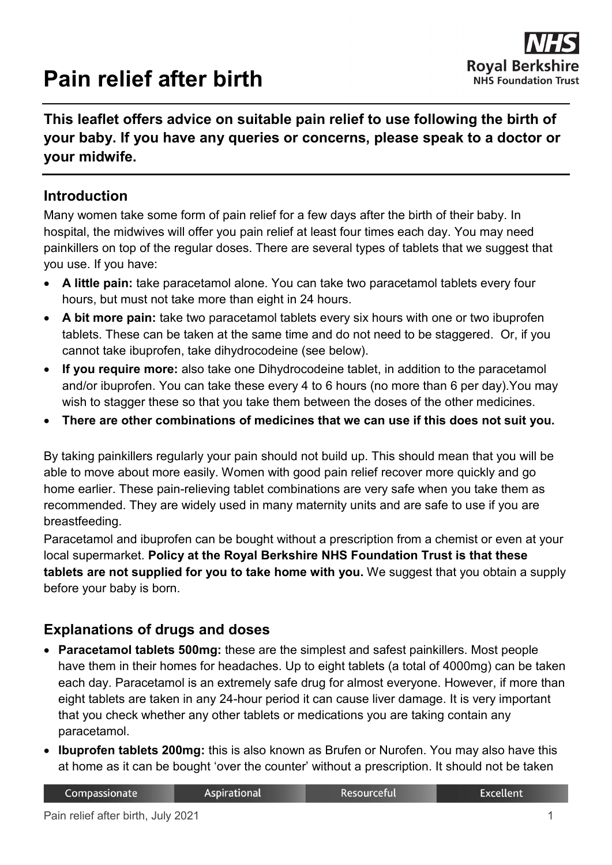# **Pain relief after birth**

## **This leaflet offers advice on suitable pain relief to use following the birth of your baby. If you have any queries or concerns, please speak to a doctor or your midwife.**

#### **Introduction**

Many women take some form of pain relief for a few days after the birth of their baby. In hospital, the midwives will offer you pain relief at least four times each day. You may need painkillers on top of the regular doses. There are several types of tablets that we suggest that you use. If you have:

- **A little pain:** take paracetamol alone. You can take two paracetamol tablets every four hours, but must not take more than eight in 24 hours.
- **A bit more pain:** take two paracetamol tablets every six hours with one or two ibuprofen tablets. These can be taken at the same time and do not need to be staggered. Or, if you cannot take ibuprofen, take dihydrocodeine (see below).
- **If you require more:** also take one Dihydrocodeine tablet, in addition to the paracetamol and/or ibuprofen. You can take these every 4 to 6 hours (no more than 6 per day).You may wish to stagger these so that you take them between the doses of the other medicines.
- **There are other combinations of medicines that we can use if this does not suit you.**

By taking painkillers regularly your pain should not build up. This should mean that you will be able to move about more easily. Women with good pain relief recover more quickly and go home earlier. These pain-relieving tablet combinations are very safe when you take them as recommended. They are widely used in many maternity units and are safe to use if you are breastfeeding.

Paracetamol and ibuprofen can be bought without a prescription from a chemist or even at your local supermarket. **Policy at the Royal Berkshire NHS Foundation Trust is that these tablets are not supplied for you to take home with you.** We suggest that you obtain a supply before your baby is born.

# **Explanations of drugs and doses**

- **Paracetamol tablets 500mg:** these are the simplest and safest painkillers. Most people have them in their homes for headaches. Up to eight tablets (a total of 4000mg) can be taken each day. Paracetamol is an extremely safe drug for almost everyone. However, if more than eight tablets are taken in any 24-hour period it can cause liver damage. It is very important that you check whether any other tablets or medications you are taking contain any paracetamol.
- **Ibuprofen tablets 200mg:** this is also known as Brufen or Nurofen. You may also have this at home as it can be bought 'over the counter' without a prescription. It should not be taken